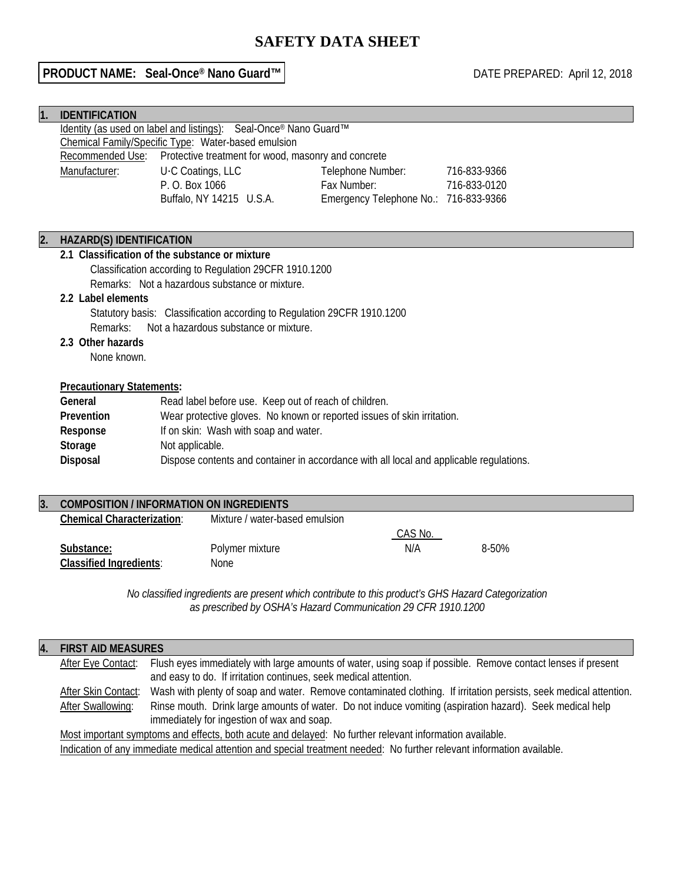# **SAFETY DATA SHEET**

## **PRODUCT NAME:** Seal-Once® Nano Guard™ | DATE PREPARED: April 12, 2018

| 1. | <b>IDENTIFICATION</b>                                                                                                                              |                                                                  |  |                                       |              |
|----|----------------------------------------------------------------------------------------------------------------------------------------------------|------------------------------------------------------------------|--|---------------------------------------|--------------|
|    |                                                                                                                                                    | Identity (as used on label and listings): Seal-Once® Nano Guard™ |  |                                       |              |
|    |                                                                                                                                                    | Chemical Family/Specific Type: Water-based emulsion              |  |                                       |              |
|    | Recommended Use:                                                                                                                                   | Protective treatment for wood, masonry and concrete              |  |                                       |              |
|    | Manufacturer:                                                                                                                                      | U.C Coatings, LLC                                                |  | Telephone Number:                     | 716-833-9366 |
|    |                                                                                                                                                    | P. O. Box 1066                                                   |  | Fax Number:                           | 716-833-0120 |
|    |                                                                                                                                                    | Buffalo, NY 14215 U.S.A.                                         |  | Emergency Telephone No.: 716-833-9366 |              |
|    |                                                                                                                                                    |                                                                  |  |                                       |              |
| 2. | <b>HAZARD(S) IDENTIFICATION</b>                                                                                                                    |                                                                  |  |                                       |              |
|    | 2.1 Classification of the substance or mixture                                                                                                     |                                                                  |  |                                       |              |
|    | Classification according to Regulation 29CFR 1910.1200                                                                                             |                                                                  |  |                                       |              |
|    |                                                                                                                                                    | Remarks: Not a hazardous substance or mixture.                   |  |                                       |              |
|    | 2.2 Label elements<br>Statutory basis: Classification according to Regulation 29CFR 1910.1200<br>Not a hazardous substance or mixture.<br>Remarks: |                                                                  |  |                                       |              |
|    |                                                                                                                                                    |                                                                  |  |                                       |              |
|    |                                                                                                                                                    |                                                                  |  |                                       |              |
|    | 2.3 Other hazards                                                                                                                                  |                                                                  |  |                                       |              |
|    | None known.                                                                                                                                        |                                                                  |  |                                       |              |
|    |                                                                                                                                                    | <b>Precautionary Statements:</b>                                 |  |                                       |              |
|    | General<br>Read label before use. Keep out of reach of children.                                                                                   |                                                                  |  |                                       |              |
|    | Wear protective gloves. No known or reported issues of skin irritation.<br><b>Prevention</b>                                                       |                                                                  |  |                                       |              |
|    | If on skin: Wash with soap and water.<br>Response                                                                                                  |                                                                  |  |                                       |              |
|    | Storage<br>Not applicable.                                                                                                                         |                                                                  |  |                                       |              |
|    | Disposal<br>Dispose contents and container in accordance with all local and applicable regulations.                                                |                                                                  |  |                                       |              |
|    |                                                                                                                                                    |                                                                  |  |                                       |              |
| 3. |                                                                                                                                                    | <b>COMPOSITION / INFORMATION ON INGREDIENTS</b>                  |  |                                       |              |

| <b>CONFOSTION / INFORMATION ON INGREDIENTS</b> |                                |         |       |
|------------------------------------------------|--------------------------------|---------|-------|
| Chemical Characterization:                     | Mixture / water-based emulsion |         |       |
|                                                |                                | CAS No. |       |
| Substance:                                     | Polymer mixture                | N/A     | 8-50% |
| <b>Classified Ingredients:</b>                 | None                           |         |       |
|                                                |                                |         |       |

*No classified ingredients are present which contribute to this product's GHS Hazard Categorization as prescribed by OSHA's Hazard Communication 29 CFR 1910.1200*

| 4.                                                               | <b>FIRST AID MEASURES</b> |                                                                                                                                                        |
|------------------------------------------------------------------|---------------------------|--------------------------------------------------------------------------------------------------------------------------------------------------------|
|                                                                  | After Eye Contact:        | Flush eyes immediately with large amounts of water, using soap if possible. Remove contact lenses if present                                           |
| and easy to do. If irritation continues, seek medical attention. |                           |                                                                                                                                                        |
|                                                                  | After Skin Contact:       | Wash with plenty of soap and water. Remove contaminated clothing. If irritation persists, seek medical attention.                                      |
|                                                                  | <b>After Swallowing:</b>  | Rinse mouth. Drink large amounts of water. Do not induce vomiting (aspiration hazard). Seek medical help<br>immediately for ingestion of wax and soap. |
|                                                                  |                           |                                                                                                                                                        |
|                                                                  |                           | Most important symptoms and effects, both acute and delayed: No further relevant information available.                                                |
|                                                                  |                           | to distribut of case incorporation of the finalism and case of the characteristical ATA family and incorporation of the later                          |

Indication of any immediate medical attention and special treatment needed: No further relevant information available.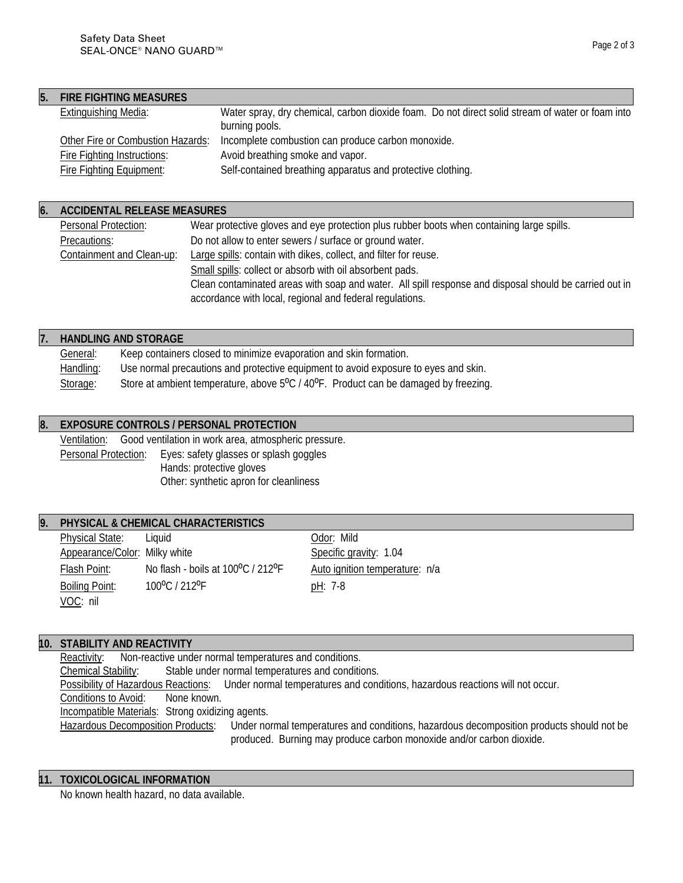| ane 2 | nt 3 |  |
|-------|------|--|
|       |      |  |

| 5. | <b>FIRE FIGHTING MEASURES</b>     |                                                                                                                    |
|----|-----------------------------------|--------------------------------------------------------------------------------------------------------------------|
|    | <b>Extinguishing Media:</b>       | Water spray, dry chemical, carbon dioxide foam. Do not direct solid stream of water or foam into<br>burning pools. |
|    | Other Fire or Combustion Hazards: | Incomplete combustion can produce carbon monoxide.                                                                 |
|    | Fire Fighting Instructions:       | Avoid breathing smoke and vapor.                                                                                   |
|    | <b>Fire Fighting Equipment:</b>   | Self-contained breathing apparatus and protective clothing.                                                        |

### **6. ACCIDENTAL RELEASE MEASURES**

| Personal Protection:      | Wear protective gloves and eye protection plus rubber boots when containing large spills.              |
|---------------------------|--------------------------------------------------------------------------------------------------------|
| Precautions:              | Do not allow to enter sewers / surface or ground water.                                                |
| Containment and Clean-up: | Large spills: contain with dikes, collect, and filter for reuse.                                       |
|                           | Small spills: collect or absorb with oil absorbent pads.                                               |
|                           | Clean contaminated areas with soap and water. All spill response and disposal should be carried out in |
|                           | accordance with local, regional and federal regulations.                                               |

|                 | <b>HANDLING AND STORAGE</b>                                                         |
|-----------------|-------------------------------------------------------------------------------------|
| <b>General:</b> | Keep containers closed to minimize evaporation and skin formation.                  |
| Handling:       | Use normal precautions and protective equipment to avoid exposure to eyes and skin. |
| Storage:        | Store at ambient temperature, above 5°C / 40°F. Product can be damaged by freezing. |

## **8. EXPOSURE CONTROLS / PERSONAL PROTECTION**

Ventilation: Good ventilation in work area, atmospheric pressure. Personal Protection: Eyes: safety glasses or splash goggles Hands: protective gloves Other: synthetic apron for cleanliness

### **9. PHYSICAL & CHEMICAL CHARACTERISTICS**

Physical State: Liquid Color: Mild Appearance/Color: Milky white Specific gravity: 1.04 Flash Point: No flash - boils at 100°C / 212°F Auto ignition temperature: n/a Boiling Point: 100°C / 212°F pH: 7-8 VOC: nil

#### **10. STABILITY AND REACTIVITY**

Reactivity: Non-reactive under normal temperatures and conditions. Chemical Stability: Stable under normal temperatures and conditions.<br>Possibility of Hazardous Reactions: Under normal temperatures and conditions. Under normal temperatures and conditions, hazardous reactions will not occur. Conditions to Avoid: None known. **Incompatible Materials: Strong oxidizing agents.**<br>Hazardous Decomposition Products: Under no Under normal temperatures and conditions, hazardous decomposition products should not be produced. Burning may produce carbon monoxide and/or carbon dioxide.

### **11. TOXICOLOGICAL INFORMATION**

No known health hazard, no data available.